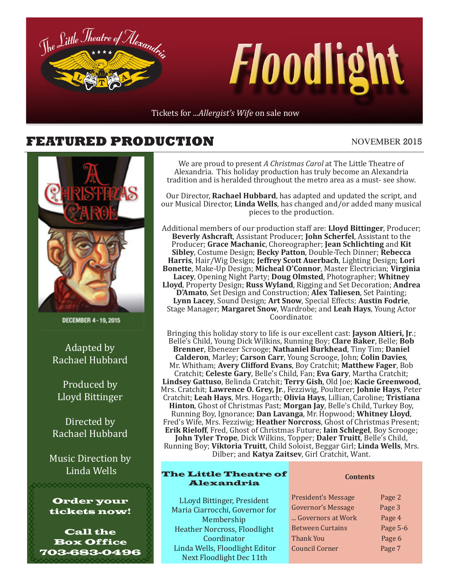

#### **FEATURED PRODUCTION** NOVEMBER 2015



DECEMBER 4-19, 2015

Adapted by Rachael Hubbard

Produced by Lloyd Bittinger

Directed by Rachael Hubbard

Music Direction by Linda Wells



**XXXXXXXXXXXXX** 

Call the Box Office 703-683-0496

We are proud to present *A Christmas Carol* at The Little Theatre of Alexandria. This holiday production has truly become an Alexandria tradition and is heralded throughout the metro area as a must- see show.

Our Director, **Rachael Hubbard**, has adapted and updated the script, and our Musical Director, **Linda Wells**, has changed and/or added many musical pieces to the production.

Additional members of our production staff are: **Lloyd Bittinger**, Producer; **Beverly Ashcraft**, Assistant Producer; **John Scherfel**, Assistant to the Producer; **Grace Machanic**, Choreographer; **Jean Schlichting** and **Kit Sibley**, Costume Design; **Becky Patton**, Double-Tech Dinner; **Rebecca Harris**, Hair/Wig Design; **Jeffrey Scott Auerbach**, Lighting Design; **Lori Bonette**, Make-Up Design; **Micheal O'Connor**, Master Electrician; **Virginia Lacey**, Opening Night Party; **Doug Olmsted**, Photographer; **Whitney Lloyd**, Property Design; **Russ Wyland**, Rigging and Set Decoration; **Andrea D'Amato**, Set Design and Construction; **Alex Taliesen**, Set Painting; **Lynn Lacey**, Sound Design; **Art Snow**, Special Effects; **Austin Fodrie**, Stage Manager; **Margaret Snow**, Wardrobe; and **Leah Hays**, Young Actor Coordinator.

Bringing this holiday story to life is our excellent cast: **Jayson Altieri, Jr**.; Belle's Child, Young Dick Wilkins, Running Boy; **Clare Baker**, Belle; **Bob Brenner**, Ebenezer Scrooge; **Nathaniel Burkhead**, Tiny Tim; **Daniel Calderon**, Marley; **Carson Carr**, Young Scrooge, John; **Colin Davies**, Mr. Whitham; **Avery Clifford Evans**, Boy Cratchit; **Matthew Fager**, Bob Cratchit; **Celeste Gary**, Belle's Child, Fan; **Eva Gary**, Martha Cratchit; **Lindsey Gattuso**, Belinda Cratchit; **Terry Gish**, Old Joe; **Kacie Greenwood**, Mrs. Cratchit; **Lawrence O. Grey, Jr**., Fezziwig, Poulterer; **Johnie Hays**, Peter Cratchit; **Leah Hays**, Mrs. Hogarth; **Olivia Hays**, Lillian, Caroline; **Tristiana Hinton**, Ghost of Christmas Past; **Morgan Jay**, Belle's Child, Turkey Boy, Running Boy, Ignorance; **Dan Lavanga**, Mr. Hopwood; **Whitney Lloyd**, Fred's Wife, Mrs. Fezziwig; **Heather Norcross**, Ghost of Christmas Present; **Erik Rieloff**, Fred, Ghost of Christmas Future; **Iain Schlegel**, Boy Scrooge; **John Tyler Trope**, Dick Wilkins, Topper; **Daler Truitt**, Belle's Child, Running Boy; **Viktoria Truitt**, Child Soloist, Beggar Girl; **Linda Wells**, Mrs. Dilber; and **Katya Zaitsev**, Girl Cratchit, Want.

#### The Little Theatre of Alexandria

**Contents**

LLoyd Bittinger, President Maria Ciarrocchi, Governor for Membership Heather Norcross, Floodlight Coordinator Linda Wells, Floodlight Editor Next Floodlight Dec 11th

| President's Message       | Page 2   |
|---------------------------|----------|
| <b>Governor's Message</b> | Page 3   |
| Governors at Work         | Page 4   |
| <b>Between Curtains</b>   | Page 5-6 |
| Thank You                 | Page 6   |
| <b>Council Corner</b>     | Page 7   |
|                           |          |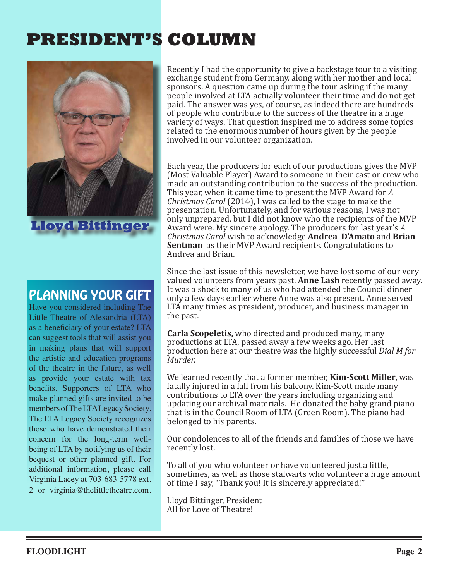### **PRESIDENT'S COLUMN**



### PLANNING YOUR GIFT

Have you considered including The Little Theatre of Alexandria (LTA) as a beneficiary of your estate? LTA can suggest tools that will assist you in making plans that will support the artistic and education programs of the theatre in the future, as well as provide your estate with tax benefits. Supporters of LTA who make planned gifts are invited to be members of The LTA Legacy Society. The LTA Legacy Society recognizes those who have demonstrated their concern for the long-term wellbeing of LTA by notifying us of their bequest or other planned gift. For additional information, please call Virginia Lacey at 703-683-5778 ext. 2 or virginia@thelittletheatre.com. Recently I had the opportunity to give a backstage tour to a visiting exchange student from Germany, along with her mother and local sponsors. A question came up during the tour asking if the many people involved at LTA actually volunteer their time and do not get paid. The answer was yes, of course, as indeed there are hundreds of people who contribute to the success of the theatre in a huge variety of ways. That question inspired me to address some topics related to the enormous number of hours given by the people involved in our volunteer organization.

Each year, the producers for each of our productions gives the MVP (Most Valuable Player) Award to someone in their cast or crew who made an outstanding contribution to the success of the production. This year, when it came time to present the MVP Award for *A Christmas Carol* (2014), I was called to the stage to make the presentation. Unfortunately, and for various reasons, I was not only unprepared, but I did not know who the recipients of the MVP Award were. My sincere apology. The producers for last year's *A Christmas Carol* wish to acknowledge **Andrea D'Amato** and **Brian Sentman** as their MVP Award recipients. Congratulations to Andrea and Brian.

Since the last issue of this newsletter, we have lost some of our very valued volunteers from years past. **Anne Lash** recently passed away. It was a shock to many of us who had attended the Council dinner only a few days earlier where Anne was also present. Anne served LTA many times as president, producer, and business manager in the past.

**Carla Scopeletis,** who directed and produced many, many productions at LTA, passed away a few weeks ago. Her last production here at our theatre was the highly successful *Dial M for Murder.* 

We learned recently that a former member, **Kim-Scott Miller**, was fatally injured in a fall from his balcony. Kim-Scott made many contributions to LTA over the years including organizing and updating our archival materials. He donated the baby grand piano that is in the Council Room of LTA (Green Room). The piano had belonged to his parents.

Our condolences to all of the friends and families of those we have recently lost.

To all of you who volunteer or have volunteered just a little, sometimes, as well as those stalwarts who volunteer a huge amount of time I say, "Thank you! It is sincerely appreciated!"

Lloyd Bittinger, President All for Love of Theatre!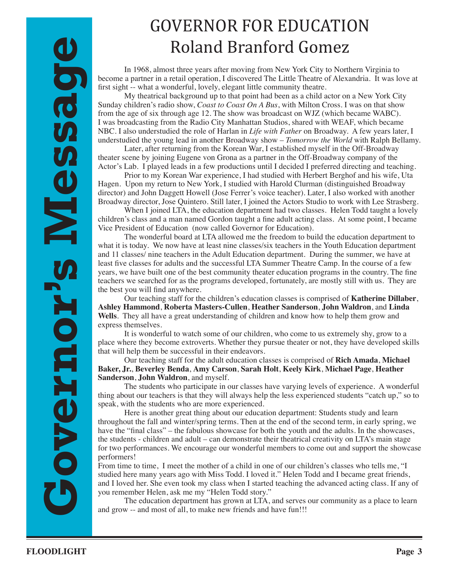### GOVERNOR FOR EDUCATION Roland Branford Gomez

In 1968, almost three years after moving from New York City to Northern Virginia to become a partner in a retail operation, I discovered The Little Theatre of Alexandria. It was love at first sight -- what a wonderful, lovely, elegant little community theatre.

My theatrical background up to that point had been as a child actor on a New York City Sunday children's radio show, *Coast to Coast On A Bus*, with Milton Cross. I was on that show from the age of six through age 12. The show was broadcast on WJZ (which became WABC). I was broadcasting from the Radio City Manhattan Studios, shared with WEAF, which became NBC. I also understudied the role of Harlan in *Life with Father* on Broadway. A few years later, I understudied the young lead in another Broadway show – *Tomorrow the World* with Ralph Bellamy.

Later, after returning from the Korean War, I established myself in the Off-Broadway theater scene by joining Eugene von Grona as a partner in the Off-Broadway company of the Actor's Lab. I played leads in a few productions until I decided I preferred directing and teaching.

Prior to my Korean War experience, I had studied with Herbert Berghof and his wife, Uta Hagen. Upon my return to New York, I studied with Harold Clurman (distinguished Broadway director) and John Daggett Howell (Jose Ferrer's voice teacher). Later, I also worked with another Broadway director, Jose Quintero. Still later, I joined the Actors Studio to work with Lee Strasberg.

When I joined LTA, the education department had two classes. Helen Todd taught a lovely children's class and a man named Gordon taught a fine adult acting class. At some point, I became Vice President of Education (now called Governor for Education).

The wonderful board at LTA allowed me the freedom to build the education department to what it is today. We now have at least nine classes/six teachers in the Youth Education department and 11 classes/ nine teachers in the Adult Education department. During the summer, we have at least five classes for adults and the successful LTA Summer Theatre Camp. In the course of a few years, we have built one of the best community theater education programs in the country. The fine teachers we searched for as the programs developed, fortunately, are mostly still with us. They are the best you will find anywhere.

Our teaching staff for the children's education classes is comprised of **Katherine Dillaber**, **Ashley Hammond**, **Roberta Masters-Cullen**, **Heather Sanderson**, **John Waldron**, and **Linda Wells**. They all have a great understanding of children and know how to help them grow and express themselves.

It is wonderful to watch some of our children, who come to us extremely shy, grow to a place where they become extroverts. Whether they pursue theater or not, they have developed skills that will help them be successful in their endeavors.

Our teaching staff for the adult education classes is comprised of **Rich Amada**, **Michael Baker, Jr.**, **Beverley Benda**, **Amy Carson**, **Sarah Holt**, **Keely Kirk**, **Michael Page**, **Heather Sanderson**, **John Waldron**, and myself.

The students who participate in our classes have varying levels of experience. A wonderful thing about our teachers is that they will always help the less experienced students "catch up," so to speak, with the students who are more experienced.

Here is another great thing about our education department: Students study and learn throughout the fall and winter/spring terms. Then at the end of the second term, in early spring, we have the "final class" – the fabulous showcase for both the youth and the adults. In the showcases, the students - children and adult – can demonstrate their theatrical creativity on LTA's main stage for two performances. We encourage our wonderful members to come out and support the showcase performers!

From time to time, I meet the mother of a child in one of our children's classes who tells me, "I studied here many years ago with Miss Todd. I loved it." Helen Todd and I became great friends, and I loved her. She even took my class when I started teaching the advanced acting class. If any of you remember Helen, ask me my "Helen Todd story."

The education department has grown at LTA, and serves our community as a place to learn and grow -- and most of all, to make new friends and have fun!!!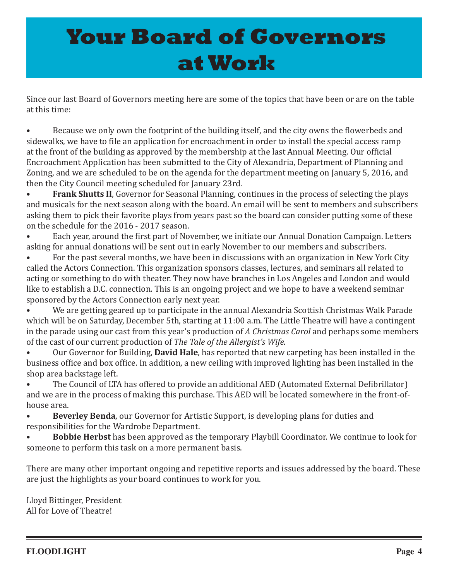# **Your Board of Governors at Work**

Since our last Board of Governors meeting here are some of the topics that have been or are on the table at this time:

• Because we only own the footprint of the building itself, and the city owns the flowerbeds and sidewalks, we have to file an application for encroachment in order to install the special access ramp at the front of the building as approved by the membership at the last Annual Meeting. Our official Encroachment Application has been submitted to the City of Alexandria, Department of Planning and Zoning, and we are scheduled to be on the agenda for the department meeting on January 5, 2016, and then the City Council meeting scheduled for January 23rd.

• **Frank Shutts II**, Governor for Seasonal Planning, continues in the process of selecting the plays and musicals for the next season along with the board. An email will be sent to members and subscribers asking them to pick their favorite plays from years past so the board can consider putting some of these on the schedule for the 2016 - 2017 season.

• Each year, around the first part of November, we initiate our Annual Donation Campaign. Letters asking for annual donations will be sent out in early November to our members and subscribers.

For the past several months, we have been in discussions with an organization in New York City called the Actors Connection. This organization sponsors classes, lectures, and seminars all related to acting or something to do with theater. They now have branches in Los Angeles and London and would like to establish a D.C. connection. This is an ongoing project and we hope to have a weekend seminar sponsored by the Actors Connection early next year.<br>• We are getting geared un to participate in the

We are getting geared up to participate in the annual Alexandria Scottish Christmas Walk Parade which will be on Saturday, December 5th, starting at 11:00 a.m. The Little Theatre will have a contingent in the parade using our cast from this year's production of *A Christmas Carol* and perhaps some members of the cast of our current production of *The Tale of the Allergist's Wife*.

• Our Governor for Building, **David Hale**, has reported that new carpeting has been installed in the business office and box office. In addition, a new ceiling with improved lighting has been installed in the shop area backstage left.

The Council of LTA has offered to provide an additional AED (Automated External Defibrillator) and we are in the process of making this purchase. This AED will be located somewhere in the front-ofhouse area.

**Beverley Benda**, our Governor for Artistic Support, is developing plans for duties and responsibilities for the Wardrobe Department.

**Bobbie Herbst** has been approved as the temporary Playbill Coordinator. We continue to look for someone to perform this task on a more permanent basis.

There are many other important ongoing and repetitive reports and issues addressed by the board. These are just the highlights as your board continues to work for you.

Lloyd Bittinger, President All for Love of Theatre!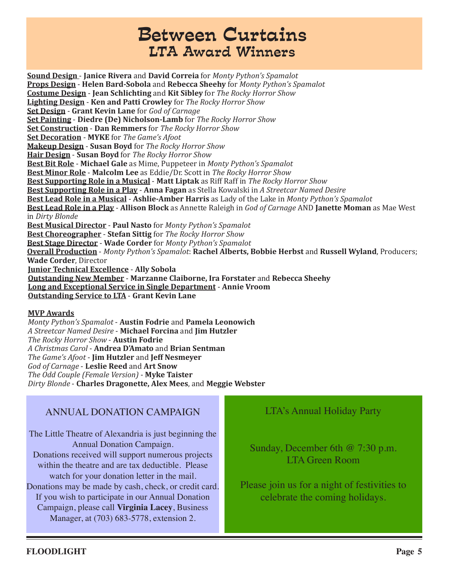### Between Curtains LTA Award Winners

**Sound Design** - **Janice Rivera** and **David Correia** for *Monty Python's Spamalot* **Props Design** - **Helen Bard-Sobola** and **Rebecca Sheehy** for *Monty Python's Spamalot* **Costume Design** - **Jean Schlichting** and **Kit Sibley** for *The Rocky Horror Show* **Lighting Design** - **Ken and Patti Crowley** for *The Rocky Horror Show* **Set Design** - **Grant Kevin Lane** for *God of Carnage* **Set Painting** - **Diedre (De) Nicholson-Lamb** for *The Rocky Horror Show* **Set Construction** - **Dan Remmers** for *The Rocky Horror Show* **Set Decoration** - **MYKE** for *The Game's Afoot* **Makeup Design** - **Susan Boyd** for *The Rocky Horror Show* **Hair Design** - **Susan Boyd** for *The Rocky Horror Show* **Best Bit Role** - **Michael Gale** as Mime, Puppeteer in *Monty Python's Spamalot* **Best Minor Role** - **Malcolm Lee** as Eddie/Dr. Scott in *The Rocky Horror Show* **Best Supporting Role in a Musical** - **Matt Liptak** as Riff Raff in *The Rocky Horror Show* **Best Supporting Role in a Play** - **Anna Fagan** as Stella Kowalski in *A Streetcar Named Desire* **Best Lead Role in a Musical** - **Ashlie-Amber Harris** as Lady of the Lake in *Monty Python's Spamalot* **Best Lead Role in a Play** - **Allison Block** as Annette Raleigh in *God of Carnage* AND **Janette Moman** as Mae West in *Dirty Blonde* **Best Musical Director** - **Paul Nasto** for *Monty Python's Spamalot* **Best Choreographer** - **Stefan Sittig** for *The Rocky Horror Show* **Best Stage Director** - **Wade Corder** for *Monty Python's Spamalot* **Overall Production** - *Monty Python's Spamalot*: **Rachel Alberts, Bobbie Herbst** and **Russell Wyland**, Producers; **Wade Corder**, Director **Junior Technical Excellence** - **Ally Sobola Outstanding New Member** - **Marzanne Claiborne, Ira Forstater** and **Rebecca Sheehy Long and Exceptional Service in Single Department** - **Annie Vroom Outstanding Service to LTA** - **Grant Kevin Lane**

#### **MVP Awards**

*Monty Python's Spamalot* - **Austin Fodrie** and **Pamela Leonowich** *A Streetcar Named Desire* - **Michael Forcina** and **Jim Hutzler** *The Rocky Horror Show* - **Austin Fodrie** *A Christmas Carol* - **Andrea D'Amato** and **Brian Sentman** *The Game's Afoot* - **Jim Hutzler** and **Jeff Nesmeyer** *God of Carnage* - **Leslie Reed** and **Art Snow** *The Odd Couple (Female Version)* - **Myke Taister** *Dirty Blonde* - **Charles Dragonette, Alex Mees**, and **Meggie Webster**

#### ANNUAL DONATION CAMPAIGN

The Little Theatre of Alexandria is just beginning the Annual Donation Campaign. Donations received will support numerous projects within the theatre and are tax deductible. Please watch for your donation letter in the mail. Donations may be made by cash, check, or credit card. If you wish to participate in our Annual Donation Campaign, please call **Virginia Lacey**, Business

Manager, at (703) 683-5778, extension 2.

#### LTA's Annual Holiday Party

Sunday, December 6th @ 7:30 p.m. LTA Green Room

Please join us for a night of festivities to celebrate the coming holidays.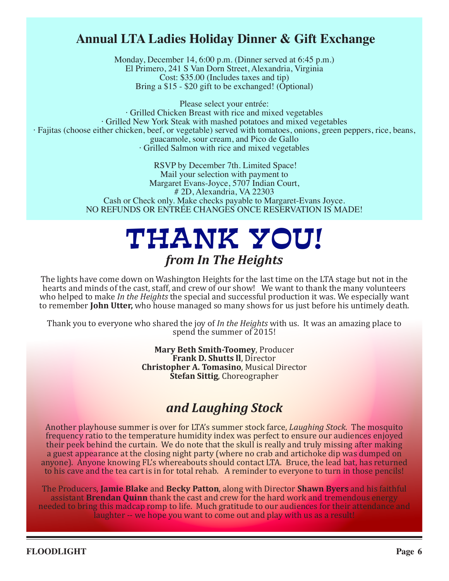#### **Annual LTA Ladies Holiday Dinner & Gift Exchange**

Monday, December 14, 6:00 p.m. (Dinner served at 6:45 p.m.) El Primero, 241 S Van Dorn Street, Alexandria, Virginia Cost: \$35.00 (Includes taxes and tip) Bring a \$15 - \$20 gift to be exchanged! (Optional)

Please select your entrée: · Grilled Chicken Breast with rice and mixed vegetables · Grilled New York Steak with mashed potatoes and mixed vegetables · Fajitas (choose either chicken, beef, or vegetable) served with tomatoes, onions, green peppers, rice, beans, guacamole, sour cream, and Pico de Gallo · Grilled Salmon with rice and mixed vegetables

> RSVP by December 7th. Limited Space! Mail your selection with payment to Margaret Evans-Joyce, 5707 Indian Court, # 2D, Alexandria, VA 22303 Cash or Check only. Make checks payable to Margaret-Evans Joyce. NO REFUNDS OR ENTRÉE CHANGES ONCE RESERVATION IS MADE!

## THANK YOU! *from In The Heights*

The lights have come down on Washington Heights for the last time on the LTA stage but not in the hearts and minds of the cast, staff, and crew of our show! We want to thank the many volunteers who helped to make *In the Heights* the special and successful production it was. We especially want to remember **John Utter,** who house managed so many shows for us just before his untimely death.

Thank you to everyone who shared the joy of *In the Heights* with us. It was an amazing place to spend the summer of 2015!

> **Mary Beth Smith-Toomey**, Producer **Frank D. Shutts ll**, Director **Christopher A. Tomasino**, Musical Director **Stefan Sittig**, Choreographer

### *and Laughing Stock*

Another playhouse summer is over for LTA's summer stock farce, *Laughing Stock*. The mosquito frequency ratio to the temperature humidity index was perfect to ensure our audiences enjoyed their peek behind the curtain. We do note that the skull is really and truly missing after making a guest appearance at the closing night party (where no crab and artichoke dip was dumped on anyone). Anyone knowing FL's whereabouts should contact LTA. Bruce, the lead bat, has returned to his cave and the tea cart is in for total rehab. A reminder to everyone to turn in those pencils!

The Producers, **Jamie Blake** and **Becky Patton**, along with Director **Shawn Byers** and his faithful assistant **Brendan Quinn** thank the cast and crew for the hard work and tremendous energy needed to bring this madcap romp to life. Much gratitude to our audiences for their attendance and laughter -- we hope you want to come out and play with us as a result!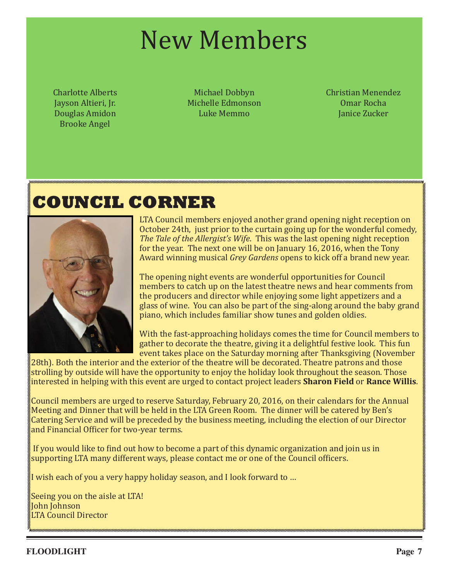# New Members

Charlotte Alberts Jayson Altieri, Jr. Douglas Amidon Brooke Angel

Michael Dobbyn Michelle Edmonson Luke Memmo

Christian Menendez Omar Rocha Janice Zucker

### **COUNCIL CORNER**



LTA Council members enjoyed another grand opening night reception on October 24th, just prior to the curtain going up for the wonderful comedy, *The Tale of the Allergist's Wife*. This was the last opening night reception for the year. The next one will be on January 16, 2016, when the Tony Award winning musical *Grey Gardens* opens to kick off a brand new year.

The opening night events are wonderful opportunities for Council members to catch up on the latest theatre news and hear comments from the producers and director while enjoying some light appetizers and a glass of wine. You can also be part of the sing-along around the baby grand piano, which includes familiar show tunes and golden oldies.

With the fast-approaching holidays comes the time for Council members to gather to decorate the theatre, giving it a delightful festive look. This fun event takes place on the Saturday morning after Thanksgiving (November

28th). Both the interior and the exterior of the theatre will be decorated. Theatre patrons and those strolling by outside will have the opportunity to enjoy the holiday look throughout the season. Those interested in helping with this event are urged to contact project leaders **Sharon Field** or **Rance Willis**.

Council members are urged to reserve Saturday, February 20, 2016, on their calendars for the Annual Meeting and Dinner that will be held in the LTA Green Room. The dinner will be catered by Ben's Catering Service and will be preceded by the business meeting, including the election of our Director and Financial Officer for two-year terms.

If you would like to find out how to become a part of this dynamic organization and join us in supporting LTA many different ways, please contact me or one of the Council officers.

I wish each of you a very happy holiday season, and I look forward to …

Seeing you on the aisle at LTA! John Johnson LTA Council Director